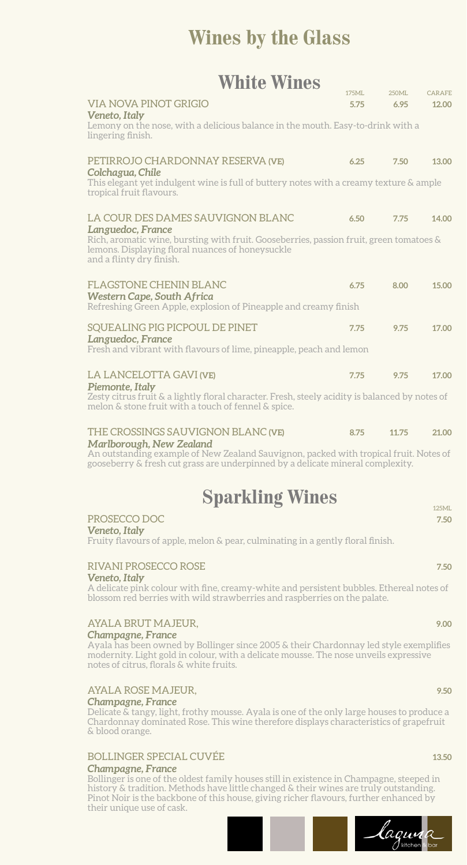### **Wines by the Glass**

### **White Wines**

| <b>VIA NOVA PINOT GRIGIO</b><br>Veneto, Italy                                                                                                                                                | 5.75 | 6.95  | 12.00 |
|----------------------------------------------------------------------------------------------------------------------------------------------------------------------------------------------|------|-------|-------|
| Lemony on the nose, with a delicious balance in the mouth. Easy-to-drink with a<br>lingering finish.                                                                                         |      |       |       |
| PETIRROJO CHARDONNAY RESERVA (VE)<br>Colchagua, Chile<br>This elegant yet indulgent wine is full of buttery notes with a creamy texture & ample                                              | 6.25 | 7.50  | 13.00 |
| tropical fruit flavours.                                                                                                                                                                     |      |       |       |
| LA COUR DES DAMES SAUVIGNON BLANC                                                                                                                                                            | 6.50 | 7.75  | 14.00 |
| Languedoc, France<br>Rich, aromatic wine, bursting with fruit. Gooseberries, passion fruit, green tomatoes &<br>lemons. Displaying floral nuances of honeysuckle<br>and a flinty dry finish. |      |       |       |
| <b>FLAGSTONE CHENIN BLANC</b><br><b>Western Cape, South Africa</b>                                                                                                                           | 6.75 | 8.00  | 15.00 |
| Refreshing Green Apple, explosion of Pineapple and creamy finish                                                                                                                             |      |       |       |
| SQUEALING PIG PICPOUL DE PINET<br>Languedoc, France                                                                                                                                          | 7.75 | 9.75  | 17.00 |
| Fresh and vibrant with flavours of lime, pineapple, peach and lemon                                                                                                                          |      |       |       |
| <b>LA LANCELOTTA GAVI (VE)</b>                                                                                                                                                               | 7.75 | 9.75  | 17.00 |
| Piemonte, Italy<br>Zesty citrus fruit & a lightly floral character. Fresh, steely acidity is balanced by notes of<br>melon & stone fruit with a touch of fennel & spice.                     |      |       |       |
| THE CROSSINGS SAUVIGNON BLANC (VE)<br>Marlborough, New Zealand                                                                                                                               | 8.75 | 11.75 | 21.00 |
| An outstanding example of New Zealand Sauvignon, packed with tropical fruit. Notes of<br>gooseberry & fresh cut grass are underpinned by a delicate mineral complexity.                      |      |       |       |

## **Sparkling Wines**

#### PROSECCO DOC **7.50**

*Veneto, Italy*

Fruity flavours of apple, melon & pear, culminating in a gently floral finish.

#### RIVANI PROSECCO ROSE **7.50** *Veneto, Italy*

A delicate pink colour with fine, creamy-white and persistent bubbles. Ethereal notes of blossom red berries with wild strawberries and raspberries on the palate.

#### AYALA BRUT MAJEUR, **9.00** *Champagne, France*

Ayala has been owned by Bollinger since 2005 & their Chardonnay led style exemplifies modernity. Light gold in colour, with a delicate mousse. The nose unveils expressive notes of citrus, florals & white fruits.

#### AYALA ROSE MAJEUR, **9.50**

#### *Champagne, France*

Delicate & tangy, light, frothy mousse. Ayala is one of the only large houses to produce a Chardonnay dominated Rose. This wine therefore displays characteristics of grapefruit & blood orange.

#### BOLLINGER SPECIAL CUVÉE **13.50**

#### *Champagne, France*

Bollinger is one of the oldest family houses still in existence in Champagne, steeped in history & tradition. Methods have little changed & their wines are truly outstanding. Pinot Noir is the backbone of this house, giving richer flavours, further enhanced by their unique use of cask.

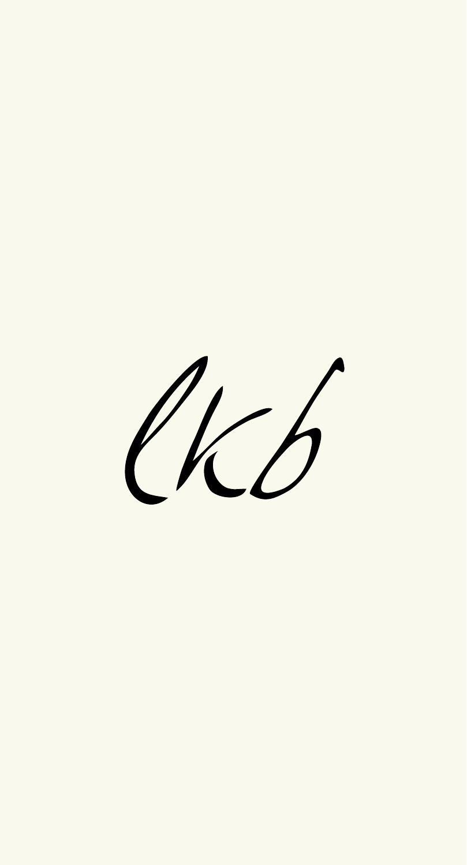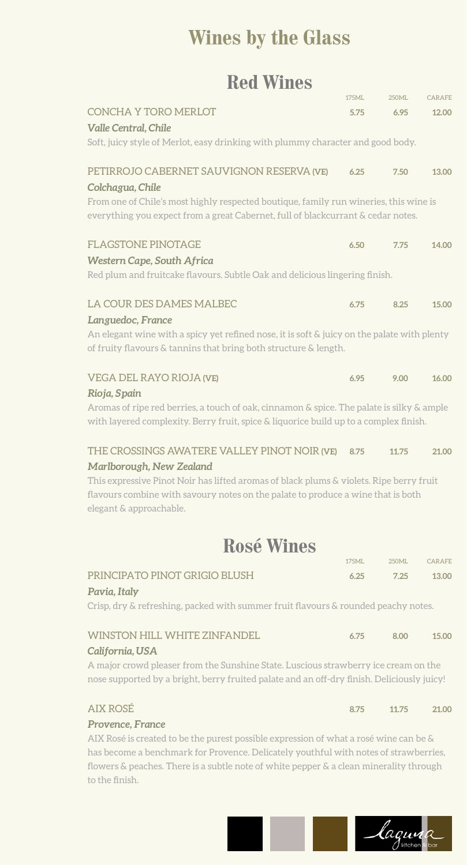## **Wines by the Glass**

### **Red Wines**

|                                                                                                                                                                                    | 175ML                                                                           | 250ML | <b>CARAFE</b> |  |
|------------------------------------------------------------------------------------------------------------------------------------------------------------------------------------|---------------------------------------------------------------------------------|-------|---------------|--|
| <b>CONCHA Y TORO MERLOT</b>                                                                                                                                                        | 5.75                                                                            | 6.95  | 12.00         |  |
| <b>Valle Central, Chile</b>                                                                                                                                                        |                                                                                 |       |               |  |
|                                                                                                                                                                                    | Soft, juicy style of Merlot, easy drinking with plummy character and good body. |       |               |  |
| PETIRROJO CABERNET SAUVIGNON RESERVA (VE)<br>Colchagua, Chile                                                                                                                      | 6.25                                                                            | 7.50  | 13.00         |  |
| From one of Chile's most highly respected boutique, family run wineries, this wine is                                                                                              |                                                                                 |       |               |  |
| everything you expect from a great Cabernet, full of blackcurrant & cedar notes.                                                                                                   |                                                                                 |       |               |  |
| <b>FLAGSTONE PINOTAGE</b>                                                                                                                                                          | 6.50                                                                            | 7.75  | 14.00         |  |
| <b>Western Cape, South Africa</b>                                                                                                                                                  |                                                                                 |       |               |  |
| Red plum and fruitcake flavours. Subtle Oak and delicious lingering finish.                                                                                                        |                                                                                 |       |               |  |
| LA COUR DES DAMES MALBEC                                                                                                                                                           | 6.75                                                                            | 8.25  | 15.00         |  |
| Languedoc, France                                                                                                                                                                  |                                                                                 |       |               |  |
| An elegant wine with a spicy yet refined nose, it is soft & juicy on the palate with plenty<br>of fruity flavours & tannins that bring both structure & length.                    |                                                                                 |       |               |  |
| <b>VEGA DEL RAYO RIOJA (VE)</b>                                                                                                                                                    | 6.95                                                                            | 9.00  | 16.00         |  |
| Rioja, Spain                                                                                                                                                                       |                                                                                 |       |               |  |
| Aromas of ripe red berries, a touch of oak, cinnamon & spice. The palate is silky & ample<br>with layered complexity. Berry fruit, spice & liquorice build up to a complex finish. |                                                                                 |       |               |  |
| THE CROSSINGS AWATERE VALLEY PINOT NOIR (VE)                                                                                                                                       | 8.75                                                                            | 11.75 | 21.00         |  |
| Marlborough, New Zealand                                                                                                                                                           |                                                                                 |       |               |  |
| This expressive Pinot Noir has lifted aromas of black plums & violets. Ripe berry fruit<br>flavours combine with savoury notes on the palate to produce a wine that is both        |                                                                                 |       |               |  |
| elegant & approachable.                                                                                                                                                            |                                                                                 |       |               |  |
| Rosé Wines                                                                                                                                                                         |                                                                                 |       |               |  |
|                                                                                                                                                                                    | 175ML                                                                           | 250ML | CARAFE        |  |
| PRINCIPATO PINOT GRIGIO BLUSH<br>Pavia, Italy                                                                                                                                      | 6.25                                                                            | 7.25  | 13.00         |  |
| Crisp, dry & refreshing, packed with summer fruit flavours & rounded peachy notes.                                                                                                 |                                                                                 |       |               |  |
| <b>WINSTON HILL WHITE ZINFANDEL</b>                                                                                                                                                | 6.75                                                                            | 8.00  | 15.00         |  |
| California, USA                                                                                                                                                                    |                                                                                 |       |               |  |
| A major crowd pleaser from the Sunshine State. Luscious strawberry ice cream on the<br>nose supported by a bright, berry fruited palate and an off-dry finish. Deliciously juicy!  |                                                                                 |       |               |  |
| <b>AIX ROSÉ</b>                                                                                                                                                                    | 8.75                                                                            | 11.75 | 21.00         |  |
| Provence, France                                                                                                                                                                   |                                                                                 |       |               |  |

AIX Rosé is created to be the purest possible expression of what a rosé wine can be & has become a benchmark for Provence. Delicately youthful with notes of strawberries, flowers & peaches. There is a subtle note of white pepper & a clean minerality through to the finish.

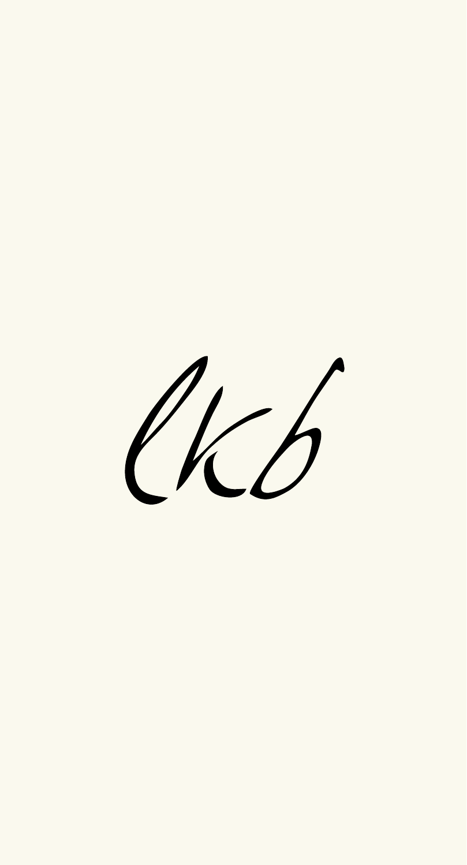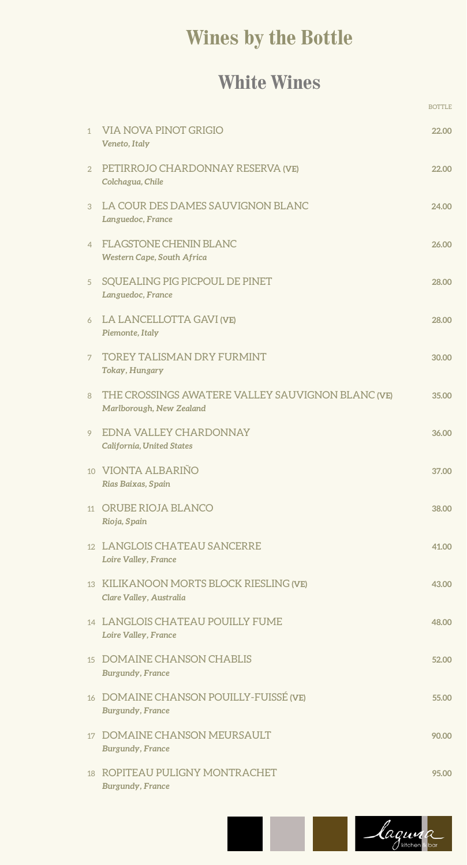# **Wines by the Bottle**

### **White Wines**

|                |                                                                               | <b>BOTTLE</b> |
|----------------|-------------------------------------------------------------------------------|---------------|
| 1              | VIA NOVA PINOT GRIGIO<br>Veneto, Italy                                        | 22.00         |
| $\overline{2}$ | PETIRROJO CHARDONNAY RESERVA (VE)<br>Colchagua, Chile                         | 22.00         |
| 3              | LA COUR DES DAMES SAUVIGNON BLANC<br>Languedoc, France                        | 24.00         |
| $\overline{4}$ | <b>FLAGSTONE CHENIN BLANC</b><br>Western Cape, South Africa                   | 26.00         |
| 5              | SQUEALING PIG PICPOUL DE PINET<br>Languedoc, France                           | 28.00         |
| 6              | LA LANCELLOTTA GAVI (VE)<br>Piemonte, Italy                                   | 28.00         |
| 7              | <b>TOREY TALISMAN DRY FURMINT</b><br>Tokay, Hungary                           | 30.00         |
| 8              | THE CROSSINGS AWATERE VALLEY SAUVIGNON BLANC (VE)<br>Marlborough, New Zealand | 35.00         |
| 9              | EDNA VALLEY CHARDONNAY<br>California, United States                           | 36.00         |
|                | 10 VIONTA ALBARIÑO<br>Rias Baixas, Spain                                      | 37.00         |
|                | 11 ORUBE RIOJA BLANCO<br>Rioja, Spain                                         | 38.00         |
|                | 12 LANGLOIS CHATEAU SANCERRE<br>Loire Valley, France                          | 41.00         |
|                | 13 KILIKANOON MORTS BLOCK RIESLING (VE)<br>Clare Valley, Australia            | 43.00         |
|                | 14 LANGLOIS CHATEAU POUILLY FUME<br>Loire Valley, France                      | 48.00         |
|                | 15 DOMAINE CHANSON CHABLIS<br><b>Burgundy, France</b>                         | 52.00         |
|                | 16 DOMAINE CHANSON POUILLY-FUISSÉ (VE)<br><b>Burgundy, France</b>             | 55.00         |
|                | 17 DOMAINE CHANSON MEURSAULT<br><b>Burgundy, France</b>                       | 90.00         |
|                | 18 ROPITEAU PULIGNY MONTRACHET<br><b>Burgundy</b> , France                    | 95.00         |

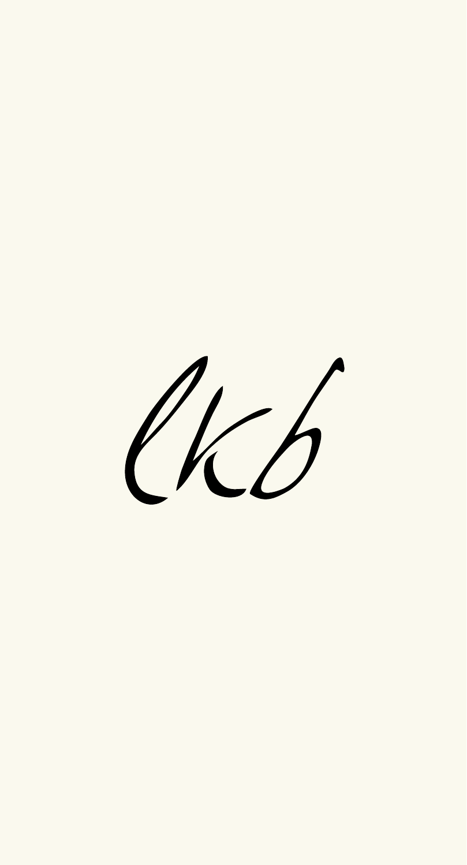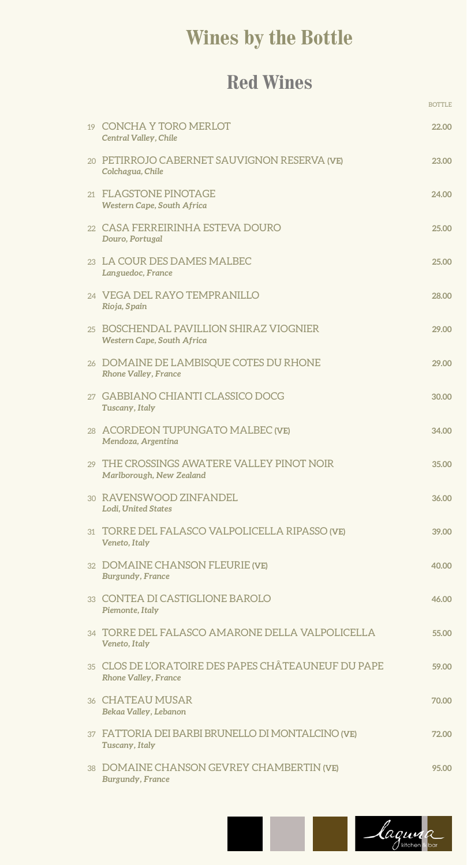# **Wines by the Bottle**

### **Red Wines**

BOTTLE AND IN THE RESERVE ENDING: A RESERVE ENDING: A RESERVE ENDING: A RESERVE ENDING: A RESERVE ENDING: A RE

| 19 CONCHA Y TORO MERLOT<br>Central Valley, Chile                                   | 22.00 |
|------------------------------------------------------------------------------------|-------|
| 20 PETIRROJO CABERNET SAUVIGNON RESERVA (VE)<br>Colchagua, Chile                   | 23.00 |
| 21 FLAGSTONE PINOTAGE<br>Western Cape, South Africa                                | 24.00 |
| 22 CASA FERREIRINHA ESTEVA DOURO<br>Douro, Portugal                                | 25.00 |
| 23 LA COUR DES DAMES MALBEC<br>Languedoc, France                                   | 25.00 |
| 24 VEGA DEL RAYO TEMPRANILLO<br>Rioja, Spain                                       | 28.00 |
| 25 BOSCHENDAL PAVILLION SHIRAZ VIOGNIER<br>Western Cape, South Africa              | 29.00 |
| 26 DOMAINE DE LAMBISQUE COTES DU RHONE<br><b>Rhone Valley, France</b>              | 29.00 |
| 27 GABBIANO CHIANTI CLASSICO DOCG<br>Tuscany, Italy                                | 30.00 |
| 28 ACORDEON TUPUNGATO MALBEC (VE)<br>Mendoza, Argentina                            | 34.00 |
| 29 THE CROSSINGS AWATERE VALLEY PINOT NOIR<br>Marlborough, New Zealand             | 35.00 |
| 30 RAVENSWOOD ZINFANDEL<br><b>Lodi, United States</b>                              | 36.00 |
| 31 TORRE DEL FALASCO VALPOLICELLA RIPASSO (VE)<br>Veneto, Italy                    | 39.00 |
| 32 DOMAINE CHANSON FLEURIE (VE)<br><b>Burgundy, France</b>                         | 40.00 |
| 33 CONTEA DI CASTIGLIONE BAROLO<br>Piemonte, Italy                                 | 46.00 |
| 34 TORRE DEL FALASCO AMARONE DELLA VALPOLICELLA<br>Veneto, Italy                   | 55.00 |
| 35 CLOS DE L'ORATOIRE DES PAPES CHÂTEAUNEUF DU PAPE<br><b>Rhone Valley, France</b> | 59.00 |
| 36 CHATEAU MUSAR<br>Bekaa Valley, Lebanon                                          | 70.00 |
| 37 FATTORIA DEI BARBI BRUNELLO DI MONTALCINO (VE)<br>Tuscany, Italy                | 72.00 |
| 38 DOMAINE CHANSON GEVREY CHAMBERTIN (VE)<br><b>Burgundy, France</b>               | 95.00 |

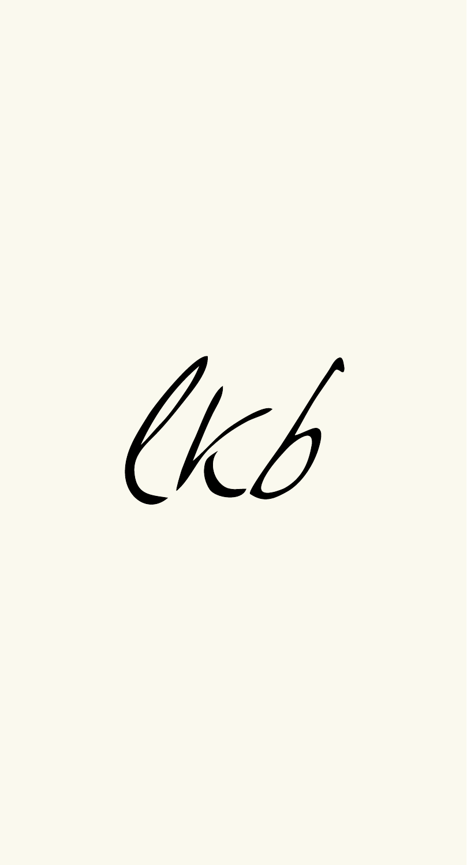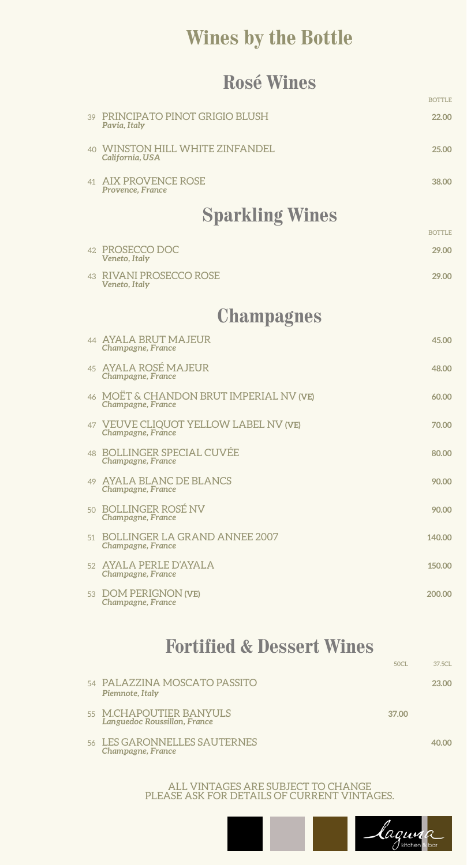### **Wines by the Bottle**

### **Rosé Wines**

|                                                              | <b>BOTTLE</b> |
|--------------------------------------------------------------|---------------|
| 39 PRINCIPATO PINOT GRIGIO BLUSH<br>Pavia, Italy             | 22.00         |
| 40 WINSTON HILL WHITE ZINFANDEL<br>California, USA           | 25.00         |
| 41 AIX PROVENCE ROSE<br>Provence, France                     | 38.00         |
| <b>Sparkling Wines</b>                                       |               |
|                                                              | <b>BOTTLE</b> |
| 42 PROSECCO DOC<br>Veneto, Italy                             | 29.00         |
| 43 RIVANI PROSECCO ROSE<br>Veneto, Italy                     | 29.00         |
| <b>Champagnes</b>                                            |               |
| 44 AYALA BRUT MAJEUR<br>Champagne, France                    | 45.00         |
| 45 AYALA ROSÉ MAJEUR<br>Champagne, France                    | 48.00         |
| 46 MOET & CHANDON BRUT IMPERIAL NV (VE)<br>Champagne, France | 60.00         |
| 47 VEUVE CLIQUOT YELLOW LABEL NV (VE)<br>Champagne, France   | 70.00         |
| 48 BOLLINGER SPECIAL CUVÉE<br>Champagne, France              | 80.00         |
| 49 AYALA BLANC DE BLANCS<br>Champagne, France                | 90.00         |
| 50 BOLLINGER ROSÉ NV<br>Champagne, France                    | 90.00         |
| 51 BOLLINGER LA GRAND ANNEE 2007<br>Champagne, France        | 140.00        |
| 52 AYALA PERLE D'AYALA<br>Champagne, France                  | 150.00        |
| 53 DOM PERIGNON (VE)<br>Champagne, France                    | 200.00        |
|                                                              |               |

### **Fortified & Dessert Wines**50CL 37.5CL

| 54 PALAZZINA MOSCATO PASSITO<br>Piemnote, Italy         |       | 23.00 |
|---------------------------------------------------------|-------|-------|
| 55 M.CHAPOUTIER BANYULS<br>Languedoc Roussillon, France | 37.00 |       |
| 56 LES GARONNELLES SAUTERNES<br>Champagne, France       |       | 40.00 |

ALL VINTAGES ARE SUBJECT TO CHANGE PLEASE ASK FOR DETAILS OF CURRENT VINTAGES.